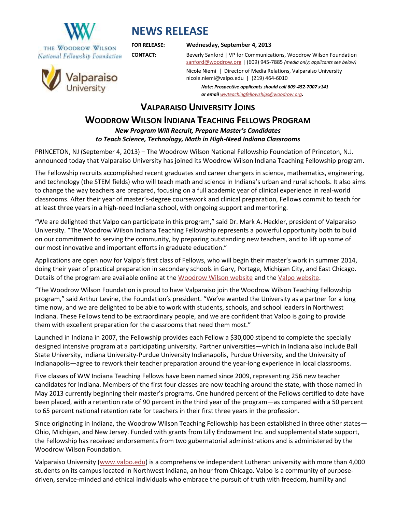

**NEWS RELEASE**

## **FOR RELEASE: Wednesday, September 4, 2013**

**CONTACT:** Beverly Sanford | VP for Communications, Woodrow Wilson Foundation [sanford@woodrow.org](mailto:sanford@woodrow.org) | (609) 945-7885 *(media only; applicants see below)*

> Nicole Niemi | Director of Media Relations, Valparaiso University nicole.niemi@valpo.edu | (219) 464-6010

*Note: Prospective applicants should call 609-452-7007 x141 or email [wwteachingfellowships@woodrow.org](mailto:wwteachingfellowships@woodrow.org).*

**VALPARAISO UNIVERSITY JOINS**

## **WOODROW WILSON INDIANA TEACHING FELLOWS PROGRAM**

*New Program Will Recruit, Prepare Master's Candidates to Teach Science, Technology, Math in High-Need Indiana Classrooms*

PRINCETON, NJ (September 4, 2013) – The Woodrow Wilson National Fellowship Foundation of Princeton, N.J. announced today that Valparaiso University has joined its Woodrow Wilson Indiana Teaching Fellowship program.

The Fellowship recruits accomplished recent graduates and career changers in science, mathematics, engineering, and technology (the STEM fields) who will teach math and science in Indiana's urban and rural schools. It also aims to change the way teachers are prepared, focusing on a full academic year of clinical experience in real-world classrooms. After their year of master's-degree coursework and clinical preparation, Fellows commit to teach for at least three years in a high-need Indiana school, with ongoing support and mentoring.

"We are delighted that Valpo can participate in this program," said Dr. Mark A. Heckler, president of Valparaiso University. "The Woodrow Wilson Indiana Teaching Fellowship represents a powerful opportunity both to build on our commitment to serving the community, by preparing outstanding new teachers, and to lift up some of our most innovative and important efforts in graduate education."

Applications are open now for Valpo's first class of Fellows, who will begin their master's work in summer 2014, doing their year of practical preparation in secondary schools in Gary, Portage, Michigan City, and East Chicago. Details of the program are available online at the [Woodrow Wilson website](http://woodrow.org/fellowship-page/ww-teaching-fellowship-partner-valpo) and the [Valpo website.](http://www.valpo.edu/grad/ed/woodrowwilson.php)

"The Woodrow Wilson Foundation is proud to have Valparaiso join the Woodrow Wilson Teaching Fellowship program," said Arthur Levine, the Foundation's president. "We've wanted the University as a partner for a long time now, and we are delighted to be able to work with students, schools, and school leaders in Northwest Indiana. These Fellows tend to be extraordinary people, and we are confident that Valpo is going to provide them with excellent preparation for the classrooms that need them most."

Launched in Indiana in 2007, the Fellowship provides each Fellow a \$30,000 stipend to complete the specially designed intensive program at a participating university. Partner universities—which in Indiana also include Ball State University, Indiana University-Purdue University Indianapolis, Purdue University, and the University of Indianapolis—agree to rework their teacher preparation around the year-long experience in local classrooms.

Five classes of WW Indiana Teaching Fellows have been named since 2009, representing 256 new teacher candidates for Indiana. Members of the first four classes are now teaching around the state, with those named in May 2013 currently beginning their master's programs. One hundred percent of the Fellows certified to date have been placed, with a retention rate of 90 percent in the third year of the program—as compared with a 50 percent to 65 percent national retention rate for teachers in their first three years in the profession.

Since originating in Indiana, the Woodrow Wilson Teaching Fellowship has been established in three other states— Ohio, Michigan, and New Jersey. Funded with grants from Lilly Endowment Inc. and supplemental state support, the Fellowship has received endorsements from two gubernatorial administrations and is administered by the Woodrow Wilson Foundation.

Valparaiso University [\(www.valpo.edu\)](http://www.valpo.edu/) is a comprehensive independent Lutheran university with more than 4,000 students on its campus located in Northwest Indiana, an hour from Chicago. Valpo is a community of purposedriven, service-minded and ethical individuals who embrace the pursuit of truth with freedom, humility and